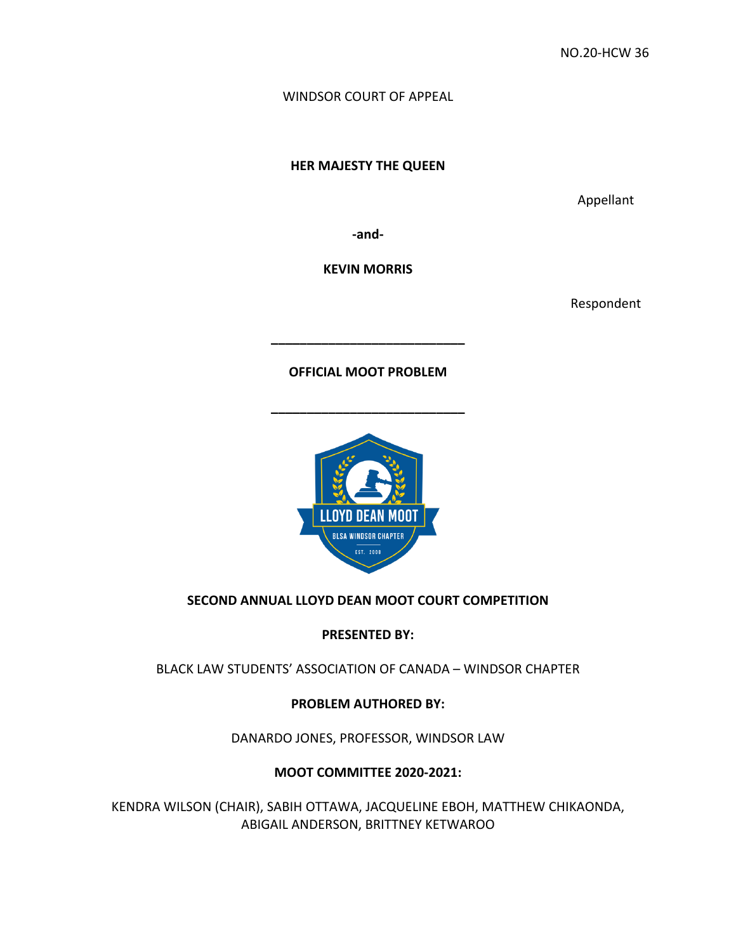WINDSOR COURT OF APPEAL

**HER MAJESTY THE QUEEN** 

Appellant

**-and-**

**KEVIN MORRIS**

Respondent

**OFFICIAL MOOT PROBLEM**

**\_\_\_\_\_\_\_\_\_\_\_\_\_\_\_\_\_\_\_\_\_\_\_\_\_\_\_**

**\_\_\_\_\_\_\_\_\_\_\_\_\_\_\_\_\_\_\_\_\_\_\_\_\_\_\_**



## **SECOND ANNUAL LLOYD DEAN MOOT COURT COMPETITION**

**PRESENTED BY:**

BLACK LAW STUDENTS' ASSOCIATION OF CANADA – WINDSOR CHAPTER

**PROBLEM AUTHORED BY:** 

DANARDO JONES, PROFESSOR, WINDSOR LAW

**MOOT COMMITTEE 2020-2021:** 

KENDRA WILSON (CHAIR), SABIH OTTAWA, JACQUELINE EBOH, MATTHEW CHIKAONDA, ABIGAIL ANDERSON, BRITTNEY KETWAROO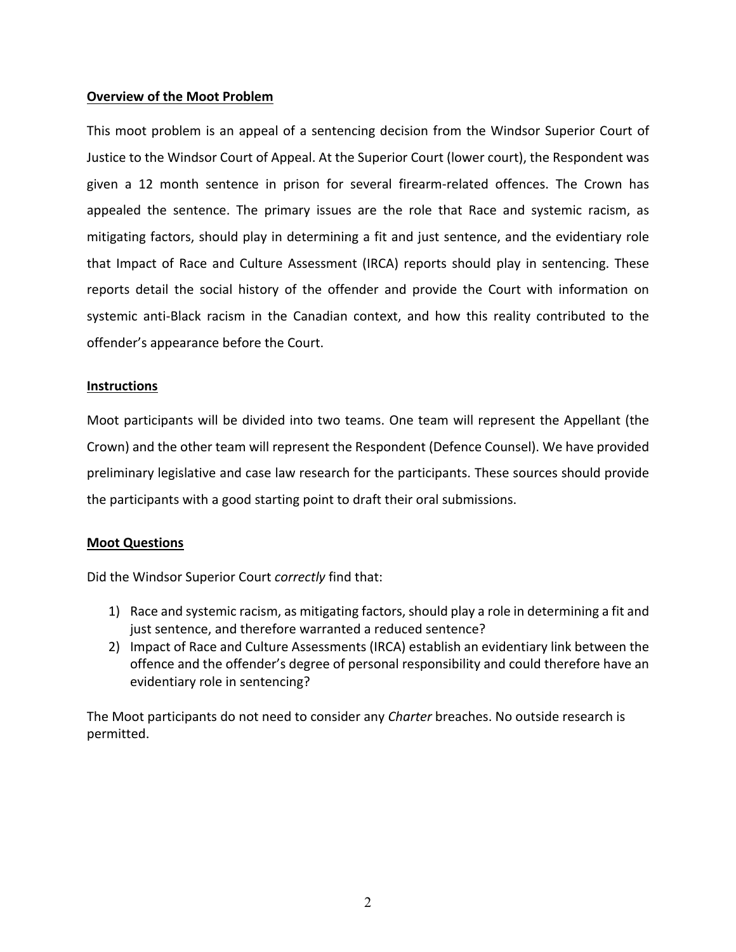## **Overview of the Moot Problem**

This moot problem is an appeal of a sentencing decision from the Windsor Superior Court of Justice to the Windsor Court of Appeal. At the Superior Court (lower court), the Respondent was given a 12 month sentence in prison for several firearm-related offences. The Crown has appealed the sentence. The primary issues are the role that Race and systemic racism, as mitigating factors, should play in determining a fit and just sentence, and the evidentiary role that Impact of Race and Culture Assessment (IRCA) reports should play in sentencing. These reports detail the social history of the offender and provide the Court with information on systemic anti-Black racism in the Canadian context, and how this reality contributed to the offender's appearance before the Court.

## **Instructions**

Moot participants will be divided into two teams. One team will represent the Appellant (the Crown) and the other team will represent the Respondent (Defence Counsel). We have provided preliminary legislative and case law research for the participants. These sources should provide the participants with a good starting point to draft their oral submissions.

## **Moot Questions**

Did the Windsor Superior Court *correctly* find that:

- 1) Race and systemic racism, as mitigating factors, should play a role in determining a fit and just sentence, and therefore warranted a reduced sentence?
- 2) Impact of Race and Culture Assessments (IRCA) establish an evidentiary link between the offence and the offender's degree of personal responsibility and could therefore have an evidentiary role in sentencing?

The Moot participants do not need to consider any *Charter* breaches. No outside research is permitted.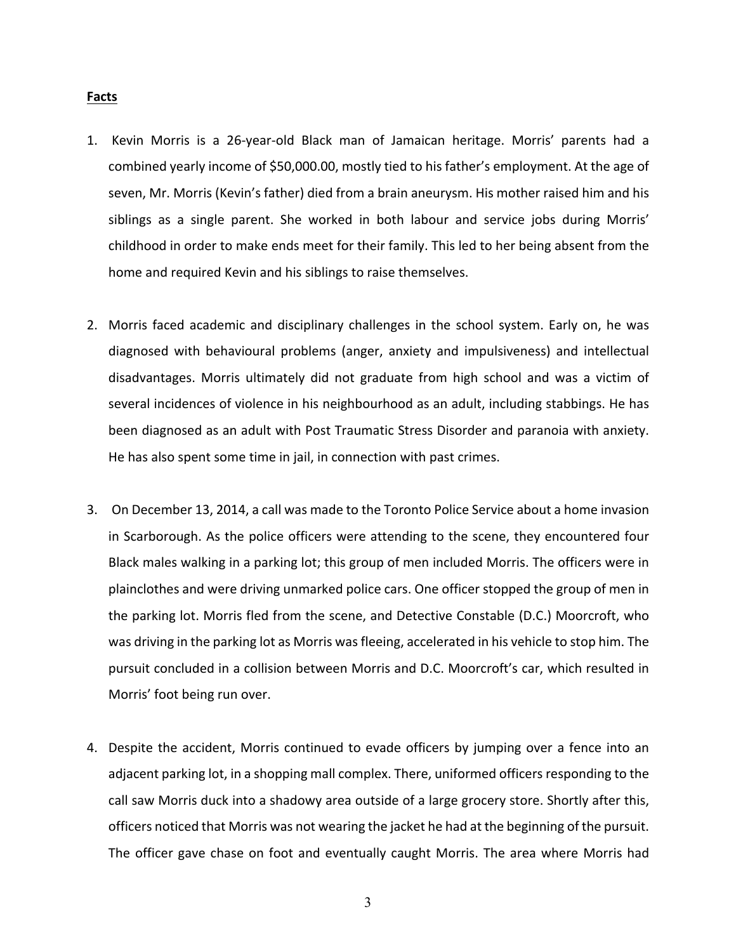#### **Facts**

- 1. Kevin Morris is a 26-year-old Black man of Jamaican heritage. Morris' parents had a combined yearly income of \$50,000.00, mostly tied to his father's employment. At the age of seven, Mr. Morris (Kevin's father) died from a brain aneurysm. His mother raised him and his siblings as a single parent. She worked in both labour and service jobs during Morris' childhood in order to make ends meet for their family. This led to her being absent from the home and required Kevin and his siblings to raise themselves.
- 2. Morris faced academic and disciplinary challenges in the school system. Early on, he was diagnosed with behavioural problems (anger, anxiety and impulsiveness) and intellectual disadvantages. Morris ultimately did not graduate from high school and was a victim of several incidences of violence in his neighbourhood as an adult, including stabbings. He has been diagnosed as an adult with Post Traumatic Stress Disorder and paranoia with anxiety. He has also spent some time in jail, in connection with past crimes.
- 3. On December 13, 2014, a call was made to the Toronto Police Service about a home invasion in Scarborough. As the police officers were attending to the scene, they encountered four Black males walking in a parking lot; this group of men included Morris. The officers were in plainclothes and were driving unmarked police cars. One officer stopped the group of men in the parking lot. Morris fled from the scene, and Detective Constable (D.C.) Moorcroft, who was driving in the parking lot as Morris was fleeing, accelerated in his vehicle to stop him. The pursuit concluded in a collision between Morris and D.C. Moorcroft's car, which resulted in Morris' foot being run over.
- 4. Despite the accident, Morris continued to evade officers by jumping over a fence into an adjacent parking lot, in a shopping mall complex. There, uniformed officers responding to the call saw Morris duck into a shadowy area outside of a large grocery store. Shortly after this, officers noticed that Morris was not wearing the jacket he had at the beginning of the pursuit. The officer gave chase on foot and eventually caught Morris. The area where Morris had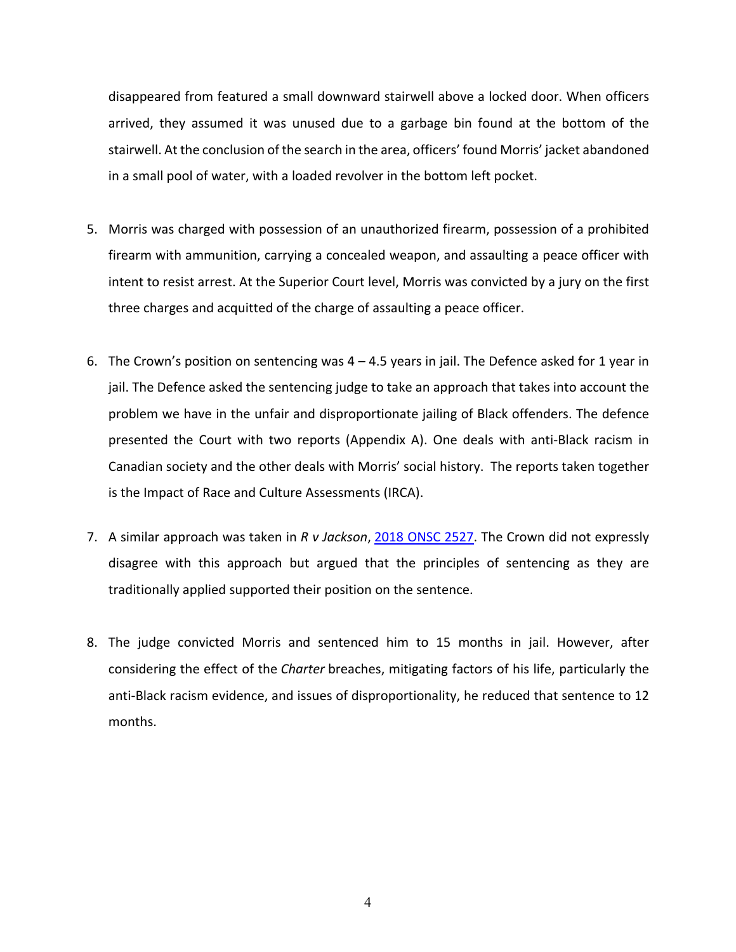disappeared from featured a small downward stairwell above a locked door. When officers arrived, they assumed it was unused due to a garbage bin found at the bottom of the stairwell. At the conclusion of the search in the area, officers' found Morris' jacket abandoned in a small pool of water, with a loaded revolver in the bottom left pocket.

- 5. Morris was charged with possession of an unauthorized firearm, possession of a prohibited firearm with ammunition, carrying a concealed weapon, and assaulting a peace officer with intent to resist arrest. At the Superior Court level, Morris was convicted by a jury on the first three charges and acquitted of the charge of assaulting a peace officer.
- 6. The Crown's position on sentencing was 4 4.5 years in jail. The Defence asked for 1 year in jail. The Defence asked the sentencing judge to take an approach that takes into account the problem we have in the unfair and disproportionate jailing of Black offenders. The defence presented the Court with two reports (Appendix A). One deals with anti-Black racism in Canadian society and the other deals with Morris' social history. The reports taken together is the Impact of Race and Culture Assessments (IRCA).
- 7. A similar approach was taken in *R v Jackson*, 2018 ONSC 2527. The Crown did not expressly disagree with this approach but argued that the principles of sentencing as they are traditionally applied supported their position on the sentence.
- 8. The judge convicted Morris and sentenced him to 15 months in jail. However, after considering the effect of the *Charter* breaches, mitigating factors of his life, particularly the anti-Black racism evidence, and issues of disproportionality, he reduced that sentence to 12 months.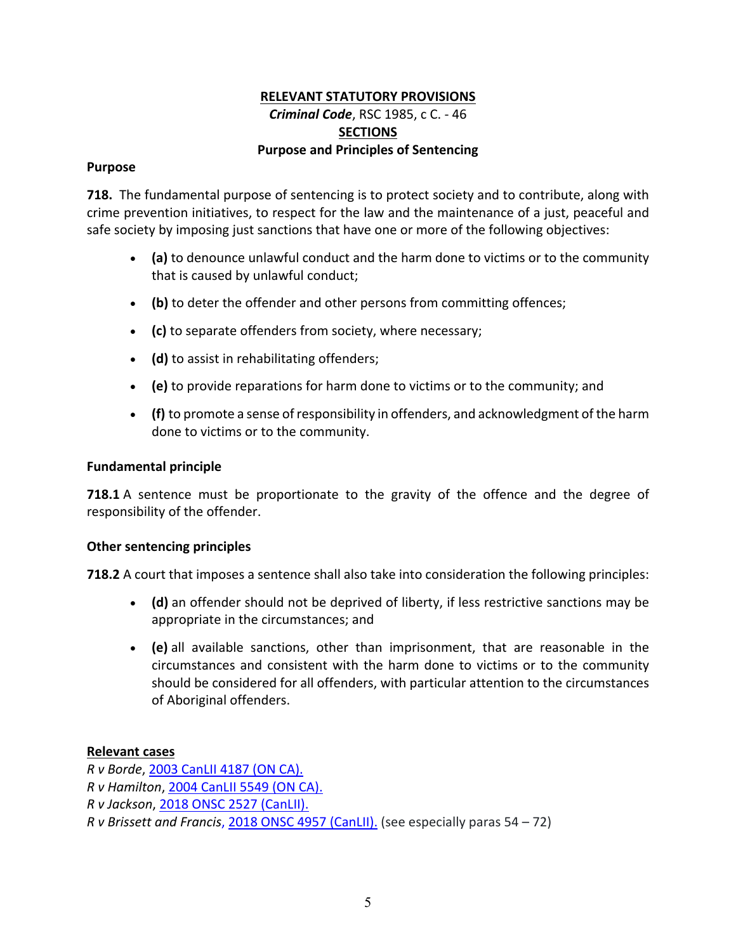## **RELEVANT STATUTORY PROVISIONS** *Criminal Code*, RSC 1985, c C. - 46 **SECTIONS Purpose and Principles of Sentencing**

## **Purpose**

**718.** The fundamental purpose of sentencing is to protect society and to contribute, along with crime prevention initiatives, to respect for the law and the maintenance of a just, peaceful and safe society by imposing just sanctions that have one or more of the following objectives:

- **(a)** to denounce unlawful conduct and the harm done to victims or to the community that is caused by unlawful conduct;
- **(b)** to deter the offender and other persons from committing offences;
- **(c)** to separate offenders from society, where necessary;
- **(d)** to assist in rehabilitating offenders;
- **(e)** to provide reparations for harm done to victims or to the community; and
- **(f)** to promote a sense of responsibility in offenders, and acknowledgment of the harm done to victims or to the community.

## **Fundamental principle**

**718.1** A sentence must be proportionate to the gravity of the offence and the degree of responsibility of the offender.

## **Other sentencing principles**

**718.2** A court that imposes a sentence shall also take into consideration the following principles:

- **(d)** an offender should not be deprived of liberty, if less restrictive sanctions may be appropriate in the circumstances; and
- **(e)** all available sanctions, other than imprisonment, that are reasonable in the circumstances and consistent with the harm done to victims or to the community should be considered for all offenders, with particular attention to the circumstances of Aboriginal offenders.

## **Relevant cases**

*R v Borde*, 2003 CanLII 4187 (ON CA). *R v Hamilton*, 2004 CanLII 5549 (ON CA). *R v Jackson*, 2018 ONSC 2527 (CanLII). *R v Brissett and Francis*, 2018 ONSC 4957 (CanLII). (see especially paras 54 – 72)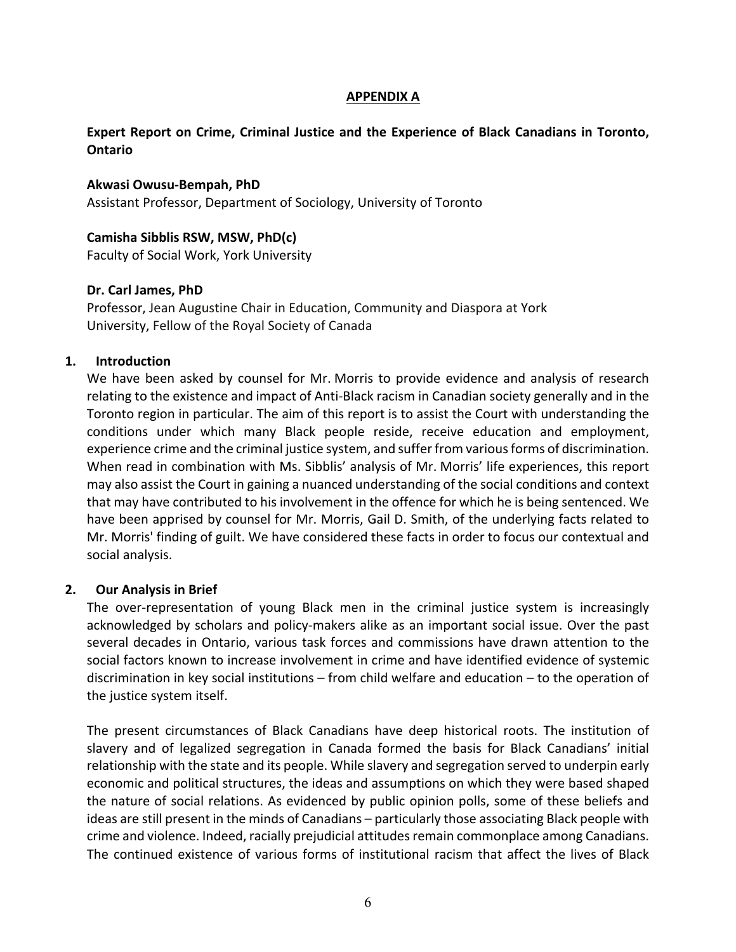### **APPENDIX A**

## **Expert Report on Crime, Criminal Justice and the Experience of Black Canadians in Toronto, Ontario**

### **Akwasi Owusu-Bempah, PhD**

Assistant Professor, Department of Sociology, University of Toronto

### **Camisha Sibblis RSW, MSW, PhD(c)**

Faculty of Social Work, York University

## **Dr. Carl James, PhD**

Professor, Jean Augustine Chair in Education, Community and Diaspora at York University, Fellow of the Royal Society of Canada

### **1. Introduction**

We have been asked by counsel for Mr. Morris to provide evidence and analysis of research relating to the existence and impact of Anti-Black racism in Canadian society generally and in the Toronto region in particular. The aim of this report is to assist the Court with understanding the conditions under which many Black people reside, receive education and employment, experience crime and the criminal justice system, and suffer from various forms of discrimination. When read in combination with Ms. Sibblis' analysis of Mr. Morris' life experiences, this report may also assist the Court in gaining a nuanced understanding of the social conditions and context that may have contributed to his involvement in the offence for which he is being sentenced. We have been apprised by counsel for Mr. Morris, Gail D. Smith, of the underlying facts related to Mr. Morris' finding of guilt. We have considered these facts in order to focus our contextual and social analysis.

#### **2. Our Analysis in Brief**

The over-representation of young Black men in the criminal justice system is increasingly acknowledged by scholars and policy-makers alike as an important social issue. Over the past several decades in Ontario, various task forces and commissions have drawn attention to the social factors known to increase involvement in crime and have identified evidence of systemic discrimination in key social institutions – from child welfare and education – to the operation of the justice system itself.

The present circumstances of Black Canadians have deep historical roots. The institution of slavery and of legalized segregation in Canada formed the basis for Black Canadians' initial relationship with the state and its people. While slavery and segregation served to underpin early economic and political structures, the ideas and assumptions on which they were based shaped the nature of social relations. As evidenced by public opinion polls, some of these beliefs and ideas are still present in the minds of Canadians – particularly those associating Black people with crime and violence. Indeed, racially prejudicial attitudes remain commonplace among Canadians. The continued existence of various forms of institutional racism that affect the lives of Black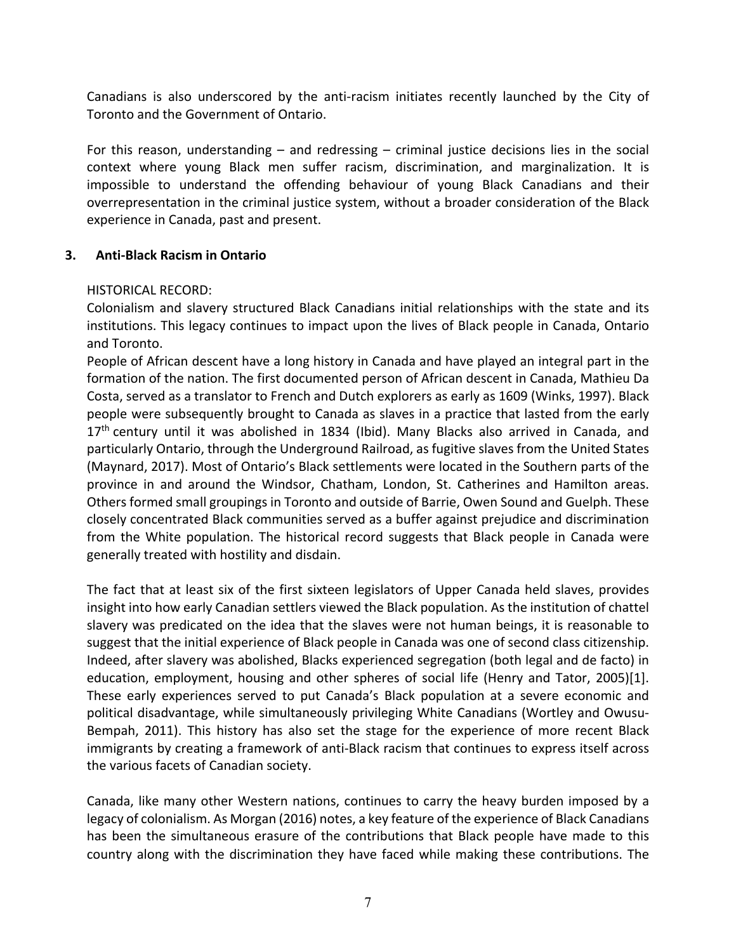Canadians is also underscored by the anti-racism initiates recently launched by the City of Toronto and the Government of Ontario.

For this reason, understanding  $-$  and redressing  $-$  criminal justice decisions lies in the social context where young Black men suffer racism, discrimination, and marginalization. It is impossible to understand the offending behaviour of young Black Canadians and their overrepresentation in the criminal justice system, without a broader consideration of the Black experience in Canada, past and present.

## **3. Anti-Black Racism in Ontario**

## HISTORICAL RECORD:

Colonialism and slavery structured Black Canadians initial relationships with the state and its institutions. This legacy continues to impact upon the lives of Black people in Canada, Ontario and Toronto.

People of African descent have a long history in Canada and have played an integral part in the formation of the nation. The first documented person of African descent in Canada, Mathieu Da Costa, served as a translator to French and Dutch explorers as early as 1609 (Winks, 1997). Black people were subsequently brought to Canada as slaves in a practice that lasted from the early 17<sup>th</sup> century until it was abolished in 1834 (Ibid). Many Blacks also arrived in Canada, and particularly Ontario, through the Underground Railroad, as fugitive slaves from the United States (Maynard, 2017). Most of Ontario's Black settlements were located in the Southern parts of the province in and around the Windsor, Chatham, London, St. Catherines and Hamilton areas. Others formed small groupings in Toronto and outside of Barrie, Owen Sound and Guelph. These closely concentrated Black communities served as a buffer against prejudice and discrimination from the White population. The historical record suggests that Black people in Canada were generally treated with hostility and disdain.

The fact that at least six of the first sixteen legislators of Upper Canada held slaves, provides insight into how early Canadian settlers viewed the Black population. As the institution of chattel slavery was predicated on the idea that the slaves were not human beings, it is reasonable to suggest that the initial experience of Black people in Canada was one of second class citizenship. Indeed, after slavery was abolished, Blacks experienced segregation (both legal and de facto) in education, employment, housing and other spheres of social life (Henry and Tator, 2005)[1]. These early experiences served to put Canada's Black population at a severe economic and political disadvantage, while simultaneously privileging White Canadians (Wortley and Owusu-Bempah, 2011). This history has also set the stage for the experience of more recent Black immigrants by creating a framework of anti-Black racism that continues to express itself across the various facets of Canadian society.

Canada, like many other Western nations, continues to carry the heavy burden imposed by a legacy of colonialism. As Morgan (2016) notes, a key feature of the experience of Black Canadians has been the simultaneous erasure of the contributions that Black people have made to this country along with the discrimination they have faced while making these contributions. The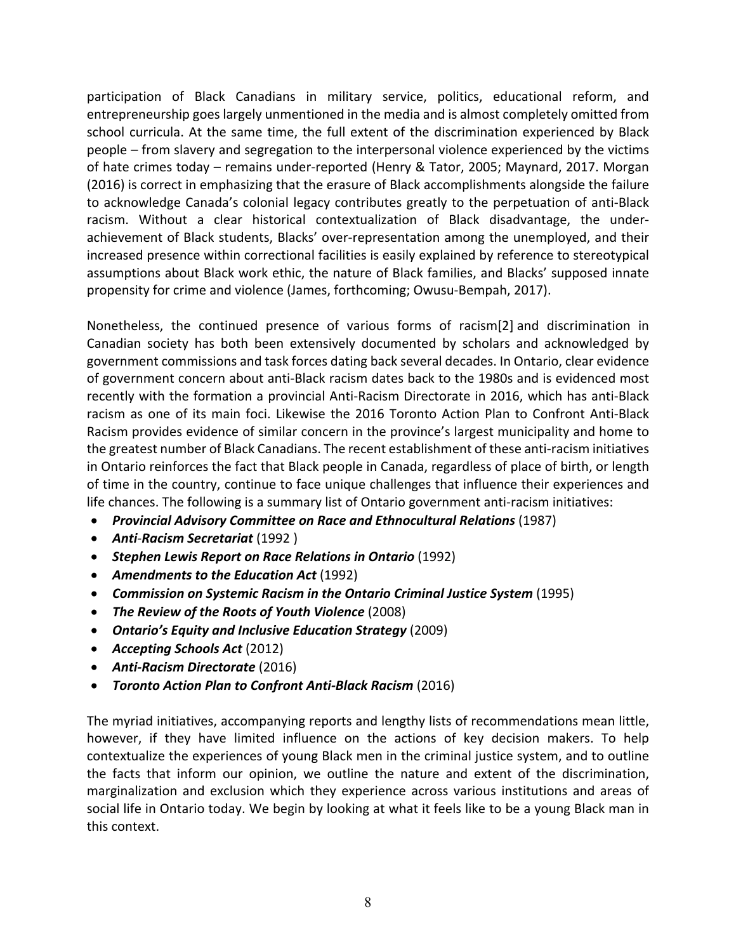participation of Black Canadians in military service, politics, educational reform, and entrepreneurship goes largely unmentioned in the media and is almost completely omitted from school curricula. At the same time, the full extent of the discrimination experienced by Black people – from slavery and segregation to the interpersonal violence experienced by the victims of hate crimes today – remains under-reported (Henry & Tator, 2005; Maynard, 2017. Morgan (2016) is correct in emphasizing that the erasure of Black accomplishments alongside the failure to acknowledge Canada's colonial legacy contributes greatly to the perpetuation of anti-Black racism. Without a clear historical contextualization of Black disadvantage, the underachievement of Black students, Blacks' over-representation among the unemployed, and their increased presence within correctional facilities is easily explained by reference to stereotypical assumptions about Black work ethic, the nature of Black families, and Blacks' supposed innate propensity for crime and violence (James, forthcoming; Owusu-Bempah, 2017).

Nonetheless, the continued presence of various forms of racism[2] and discrimination in Canadian society has both been extensively documented by scholars and acknowledged by government commissions and task forces dating back several decades. In Ontario, clear evidence of government concern about anti-Black racism dates back to the 1980s and is evidenced most recently with the formation a provincial Anti-Racism Directorate in 2016, which has anti-Black racism as one of its main foci. Likewise the 2016 Toronto Action Plan to Confront Anti-Black Racism provides evidence of similar concern in the province's largest municipality and home to the greatest number of Black Canadians. The recent establishment of these anti-racism initiatives in Ontario reinforces the fact that Black people in Canada, regardless of place of birth, or length of time in the country, continue to face unique challenges that influence their experiences and life chances. The following is a summary list of Ontario government anti-racism initiatives:

- *Provincial Advisory Committee on Race and Ethnocultural Relations* (1987)
- *Anti-Racism Secretariat* (1992 )
- *Stephen Lewis Report on Race Relations in Ontario* (1992)
- *Amendments to the Education Act* (1992)
- *Commission on Systemic Racism in the Ontario Criminal Justice System* (1995)
- *The Review of the Roots of Youth Violence* (2008)
- *Ontario's Equity and Inclusive Education Strategy* (2009)
- *Accepting Schools Act* (2012)
- *Anti-Racism Directorate* (2016)
- *Toronto Action Plan to Confront Anti-Black Racism* (2016)

The myriad initiatives, accompanying reports and lengthy lists of recommendations mean little, however, if they have limited influence on the actions of key decision makers. To help contextualize the experiences of young Black men in the criminal justice system, and to outline the facts that inform our opinion, we outline the nature and extent of the discrimination, marginalization and exclusion which they experience across various institutions and areas of social life in Ontario today. We begin by looking at what it feels like to be a young Black man in this context.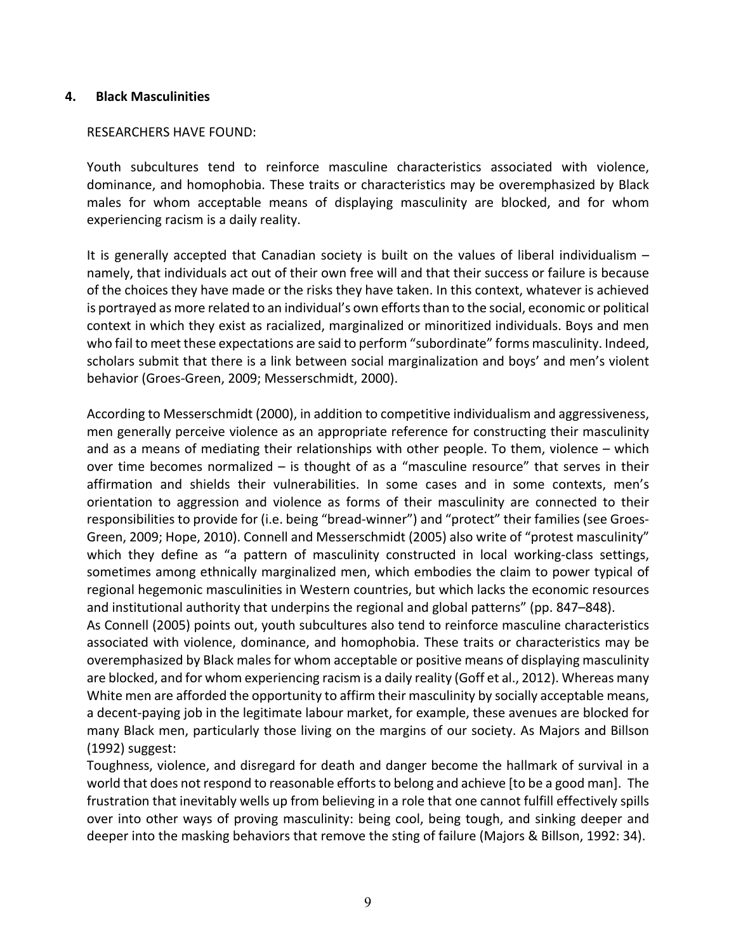### **4. Black Masculinities**

### RESEARCHERS HAVE FOUND:

Youth subcultures tend to reinforce masculine characteristics associated with violence, dominance, and homophobia. These traits or characteristics may be overemphasized by Black males for whom acceptable means of displaying masculinity are blocked, and for whom experiencing racism is a daily reality.

It is generally accepted that Canadian society is built on the values of liberal individualism – namely, that individuals act out of their own free will and that their success or failure is because of the choices they have made or the risks they have taken. In this context, whatever is achieved is portrayed as more related to an individual's own efforts than to the social, economic or political context in which they exist as racialized, marginalized or minoritized individuals. Boys and men who fail to meet these expectations are said to perform "subordinate" forms masculinity. Indeed, scholars submit that there is a link between social marginalization and boys' and men's violent behavior (Groes-Green, 2009; Messerschmidt, 2000).

According to Messerschmidt (2000), in addition to competitive individualism and aggressiveness, men generally perceive violence as an appropriate reference for constructing their masculinity and as a means of mediating their relationships with other people. To them, violence – which over time becomes normalized – is thought of as a "masculine resource" that serves in their affirmation and shields their vulnerabilities. In some cases and in some contexts, men's orientation to aggression and violence as forms of their masculinity are connected to their responsibilities to provide for (i.e. being "bread-winner") and "protect" their families (see Groes-Green, 2009; Hope, 2010). Connell and Messerschmidt (2005) also write of "protest masculinity" which they define as "a pattern of masculinity constructed in local working-class settings, sometimes among ethnically marginalized men, which embodies the claim to power typical of regional hegemonic masculinities in Western countries, but which lacks the economic resources and institutional authority that underpins the regional and global patterns" (pp. 847–848).

As Connell (2005) points out, youth subcultures also tend to reinforce masculine characteristics associated with violence, dominance, and homophobia. These traits or characteristics may be overemphasized by Black males for whom acceptable or positive means of displaying masculinity are blocked, and for whom experiencing racism is a daily reality (Goff et al., 2012). Whereas many White men are afforded the opportunity to affirm their masculinity by socially acceptable means, a decent-paying job in the legitimate labour market, for example, these avenues are blocked for many Black men, particularly those living on the margins of our society. As Majors and Billson (1992) suggest:

Toughness, violence, and disregard for death and danger become the hallmark of survival in a world that does not respond to reasonable efforts to belong and achieve [to be a good man]. The frustration that inevitably wells up from believing in a role that one cannot fulfill effectively spills over into other ways of proving masculinity: being cool, being tough, and sinking deeper and deeper into the masking behaviors that remove the sting of failure (Majors & Billson, 1992: 34).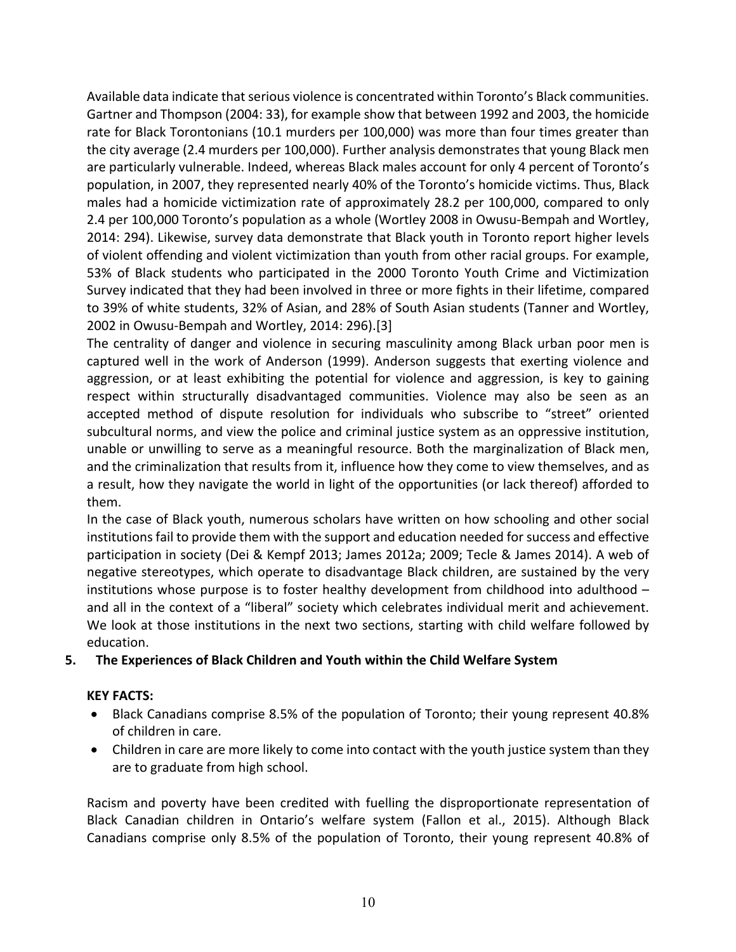Available data indicate that serious violence is concentrated within Toronto's Black communities. Gartner and Thompson (2004: 33), for example show that between 1992 and 2003, the homicide rate for Black Torontonians (10.1 murders per 100,000) was more than four times greater than the city average (2.4 murders per 100,000). Further analysis demonstrates that young Black men are particularly vulnerable. Indeed, whereas Black males account for only 4 percent of Toronto's population, in 2007, they represented nearly 40% of the Toronto's homicide victims. Thus, Black males had a homicide victimization rate of approximately 28.2 per 100,000, compared to only 2.4 per 100,000 Toronto's population as a whole (Wortley 2008 in Owusu-Bempah and Wortley, 2014: 294). Likewise, survey data demonstrate that Black youth in Toronto report higher levels of violent offending and violent victimization than youth from other racial groups. For example, 53% of Black students who participated in the 2000 Toronto Youth Crime and Victimization Survey indicated that they had been involved in three or more fights in their lifetime, compared to 39% of white students, 32% of Asian, and 28% of South Asian students (Tanner and Wortley, 2002 in Owusu-Bempah and Wortley, 2014: 296).[3]

The centrality of danger and violence in securing masculinity among Black urban poor men is captured well in the work of Anderson (1999). Anderson suggests that exerting violence and aggression, or at least exhibiting the potential for violence and aggression, is key to gaining respect within structurally disadvantaged communities. Violence may also be seen as an accepted method of dispute resolution for individuals who subscribe to "street" oriented subcultural norms, and view the police and criminal justice system as an oppressive institution, unable or unwilling to serve as a meaningful resource. Both the marginalization of Black men, and the criminalization that results from it, influence how they come to view themselves, and as a result, how they navigate the world in light of the opportunities (or lack thereof) afforded to them.

In the case of Black youth, numerous scholars have written on how schooling and other social institutions fail to provide them with the support and education needed for success and effective participation in society (Dei & Kempf 2013; James 2012a; 2009; Tecle & James 2014). A web of negative stereotypes, which operate to disadvantage Black children, are sustained by the very institutions whose purpose is to foster healthy development from childhood into adulthood – and all in the context of a "liberal" society which celebrates individual merit and achievement. We look at those institutions in the next two sections, starting with child welfare followed by education.

# **5. The Experiences of Black Children and Youth within the Child Welfare System**

## **KEY FACTS:**

- Black Canadians comprise 8.5% of the population of Toronto; their young represent 40.8% of children in care.
- Children in care are more likely to come into contact with the youth justice system than they are to graduate from high school.

Racism and poverty have been credited with fuelling the disproportionate representation of Black Canadian children in Ontario's welfare system (Fallon et al., 2015). Although Black Canadians comprise only 8.5% of the population of Toronto, their young represent 40.8% of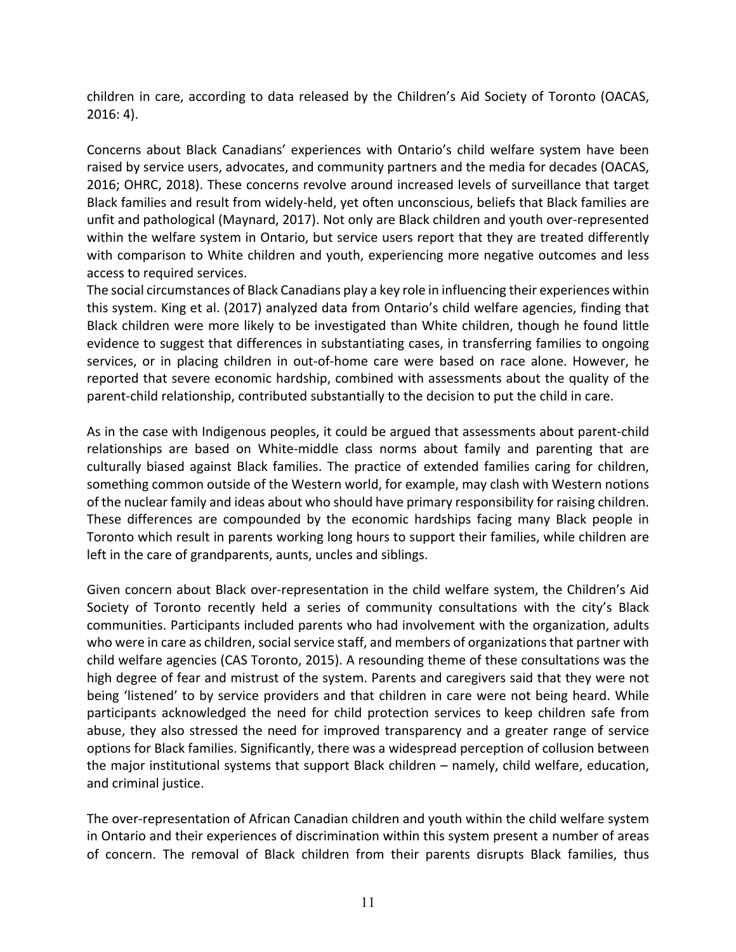children in care, according to data released by the Children's Aid Society of Toronto (OACAS, 2016: 4).

Concerns about Black Canadians' experiences with Ontario's child welfare system have been raised by service users, advocates, and community partners and the media for decades (OACAS, 2016; OHRC, 2018). These concerns revolve around increased levels of surveillance that target Black families and result from widely-held, yet often unconscious, beliefs that Black families are unfit and pathological (Maynard, 2017). Not only are Black children and youth over-represented within the welfare system in Ontario, but service users report that they are treated differently with comparison to White children and youth, experiencing more negative outcomes and less access to required services.

The social circumstances of Black Canadians play a key role in influencing their experiences within this system. King et al. (2017) analyzed data from Ontario's child welfare agencies, finding that Black children were more likely to be investigated than White children, though he found little evidence to suggest that differences in substantiating cases, in transferring families to ongoing services, or in placing children in out-of-home care were based on race alone. However, he reported that severe economic hardship, combined with assessments about the quality of the parent-child relationship, contributed substantially to the decision to put the child in care.

As in the case with Indigenous peoples, it could be argued that assessments about parent-child relationships are based on White-middle class norms about family and parenting that are culturally biased against Black families. The practice of extended families caring for children, something common outside of the Western world, for example, may clash with Western notions of the nuclear family and ideas about who should have primary responsibility for raising children. These differences are compounded by the economic hardships facing many Black people in Toronto which result in parents working long hours to support their families, while children are left in the care of grandparents, aunts, uncles and siblings.

Given concern about Black over-representation in the child welfare system, the Children's Aid Society of Toronto recently held a series of community consultations with the city's Black communities. Participants included parents who had involvement with the organization, adults who were in care as children, social service staff, and members of organizations that partner with child welfare agencies (CAS Toronto, 2015). A resounding theme of these consultations was the high degree of fear and mistrust of the system. Parents and caregivers said that they were not being 'listened' to by service providers and that children in care were not being heard. While participants acknowledged the need for child protection services to keep children safe from abuse, they also stressed the need for improved transparency and a greater range of service options for Black families. Significantly, there was a widespread perception of collusion between the major institutional systems that support Black children – namely, child welfare, education, and criminal justice.

The over-representation of African Canadian children and youth within the child welfare system in Ontario and their experiences of discrimination within this system present a number of areas of concern. The removal of Black children from their parents disrupts Black families, thus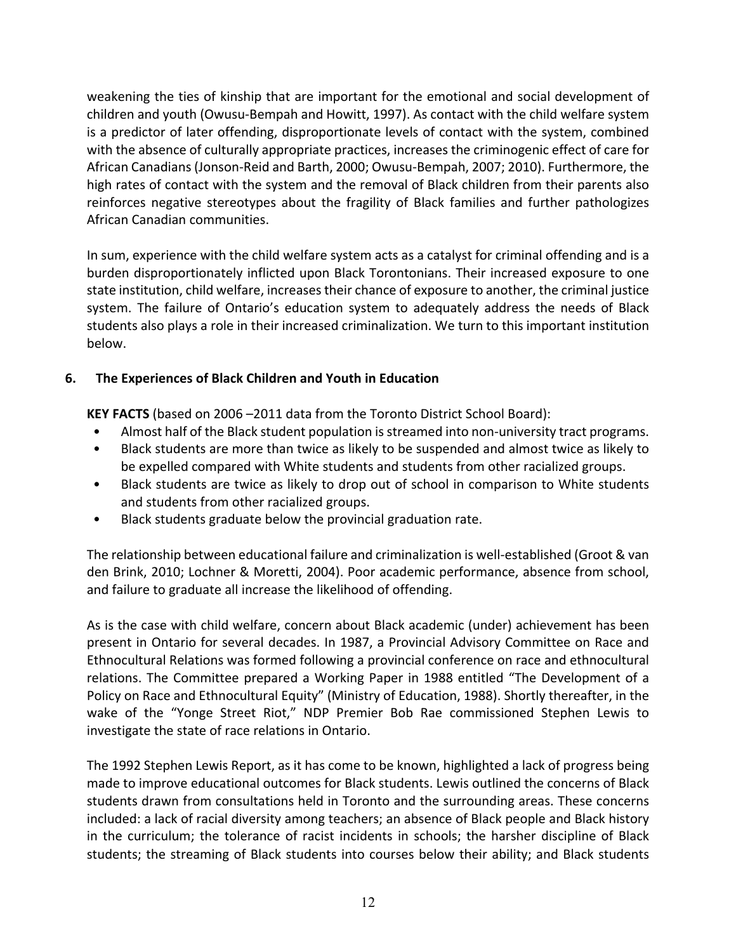weakening the ties of kinship that are important for the emotional and social development of children and youth (Owusu-Bempah and Howitt, 1997). As contact with the child welfare system is a predictor of later offending, disproportionate levels of contact with the system, combined with the absence of culturally appropriate practices, increases the criminogenic effect of care for African Canadians (Jonson-Reid and Barth, 2000; Owusu-Bempah, 2007; 2010). Furthermore, the high rates of contact with the system and the removal of Black children from their parents also reinforces negative stereotypes about the fragility of Black families and further pathologizes African Canadian communities.

In sum, experience with the child welfare system acts as a catalyst for criminal offending and is a burden disproportionately inflicted upon Black Torontonians. Their increased exposure to one state institution, child welfare, increases their chance of exposure to another, the criminal justice system. The failure of Ontario's education system to adequately address the needs of Black students also plays a role in their increased criminalization. We turn to this important institution below.

# **6. The Experiences of Black Children and Youth in Education**

**KEY FACTS** (based on 2006 –2011 data from the Toronto District School Board):

- Almost half of the Black student population is streamed into non-university tract programs.
- Black students are more than twice as likely to be suspended and almost twice as likely to be expelled compared with White students and students from other racialized groups.
- Black students are twice as likely to drop out of school in comparison to White students and students from other racialized groups.
- Black students graduate below the provincial graduation rate.

The relationship between educational failure and criminalization is well-established (Groot & van den Brink, 2010; Lochner & Moretti, 2004). Poor academic performance, absence from school, and failure to graduate all increase the likelihood of offending.

As is the case with child welfare, concern about Black academic (under) achievement has been present in Ontario for several decades. In 1987, a Provincial Advisory Committee on Race and Ethnocultural Relations was formed following a provincial conference on race and ethnocultural relations. The Committee prepared a Working Paper in 1988 entitled "The Development of a Policy on Race and Ethnocultural Equity" (Ministry of Education, 1988). Shortly thereafter, in the wake of the "Yonge Street Riot," NDP Premier Bob Rae commissioned Stephen Lewis to investigate the state of race relations in Ontario.

The 1992 Stephen Lewis Report, as it has come to be known, highlighted a lack of progress being made to improve educational outcomes for Black students. Lewis outlined the concerns of Black students drawn from consultations held in Toronto and the surrounding areas. These concerns included: a lack of racial diversity among teachers; an absence of Black people and Black history in the curriculum; the tolerance of racist incidents in schools; the harsher discipline of Black students; the streaming of Black students into courses below their ability; and Black students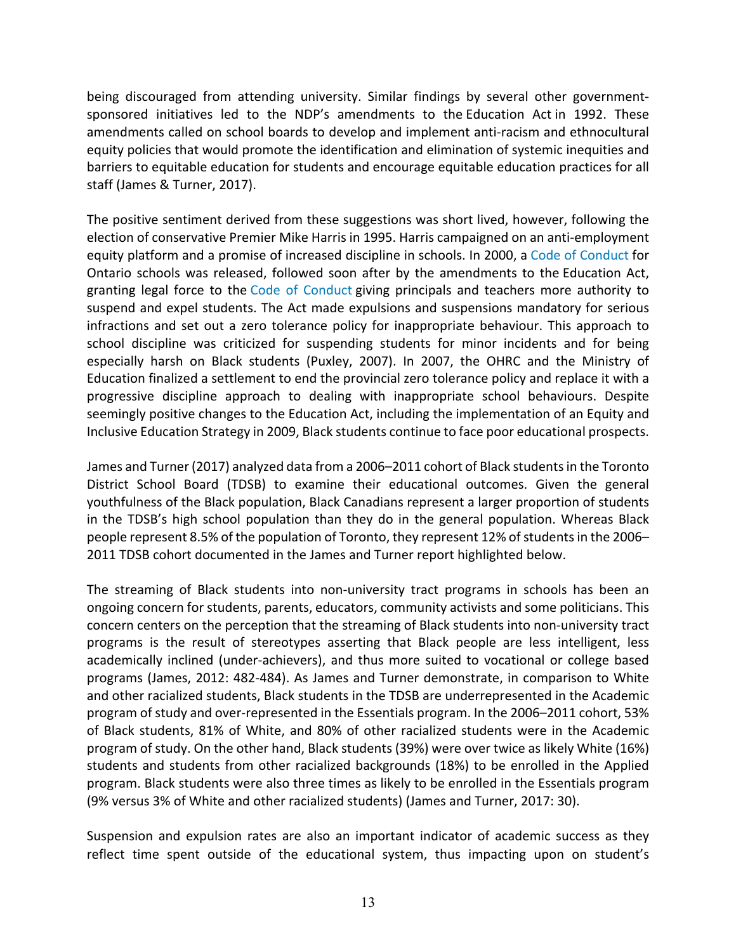being discouraged from attending university. Similar findings by several other governmentsponsored initiatives led to the NDP's amendments to the Education Act in 1992. These amendments called on school boards to develop and implement anti-racism and ethnocultural equity policies that would promote the identification and elimination of systemic inequities and barriers to equitable education for students and encourage equitable education practices for all staff (James & Turner, 2017).

The positive sentiment derived from these suggestions was short lived, however, following the election of conservative Premier Mike Harris in 1995. Harris campaigned on an anti-employment equity platform and a promise of increased discipline in schools. In 2000, a Code of Conduct for Ontario schools was released, followed soon after by the amendments to the Education Act, granting legal force to the Code of Conduct giving principals and teachers more authority to suspend and expel students. The Act made expulsions and suspensions mandatory for serious infractions and set out a zero tolerance policy for inappropriate behaviour. This approach to school discipline was criticized for suspending students for minor incidents and for being especially harsh on Black students (Puxley, 2007). In 2007, the OHRC and the Ministry of Education finalized a settlement to end the provincial zero tolerance policy and replace it with a progressive discipline approach to dealing with inappropriate school behaviours. Despite seemingly positive changes to the Education Act, including the implementation of an Equity and Inclusive Education Strategy in 2009, Black students continue to face poor educational prospects.

James and Turner (2017) analyzed data from a 2006–2011 cohort of Black students in the Toronto District School Board (TDSB) to examine their educational outcomes. Given the general youthfulness of the Black population, Black Canadians represent a larger proportion of students in the TDSB's high school population than they do in the general population. Whereas Black people represent 8.5% of the population of Toronto, they represent 12% of students in the 2006– 2011 TDSB cohort documented in the James and Turner report highlighted below.

The streaming of Black students into non-university tract programs in schools has been an ongoing concern for students, parents, educators, community activists and some politicians. This concern centers on the perception that the streaming of Black students into non-university tract programs is the result of stereotypes asserting that Black people are less intelligent, less academically inclined (under-achievers), and thus more suited to vocational or college based programs (James, 2012: 482-484). As James and Turner demonstrate, in comparison to White and other racialized students, Black students in the TDSB are underrepresented in the Academic program of study and over-represented in the Essentials program. In the 2006–2011 cohort, 53% of Black students, 81% of White, and 80% of other racialized students were in the Academic program of study. On the other hand, Black students (39%) were over twice as likely White (16%) students and students from other racialized backgrounds (18%) to be enrolled in the Applied program. Black students were also three times as likely to be enrolled in the Essentials program (9% versus 3% of White and other racialized students) (James and Turner, 2017: 30).

Suspension and expulsion rates are also an important indicator of academic success as they reflect time spent outside of the educational system, thus impacting upon on student's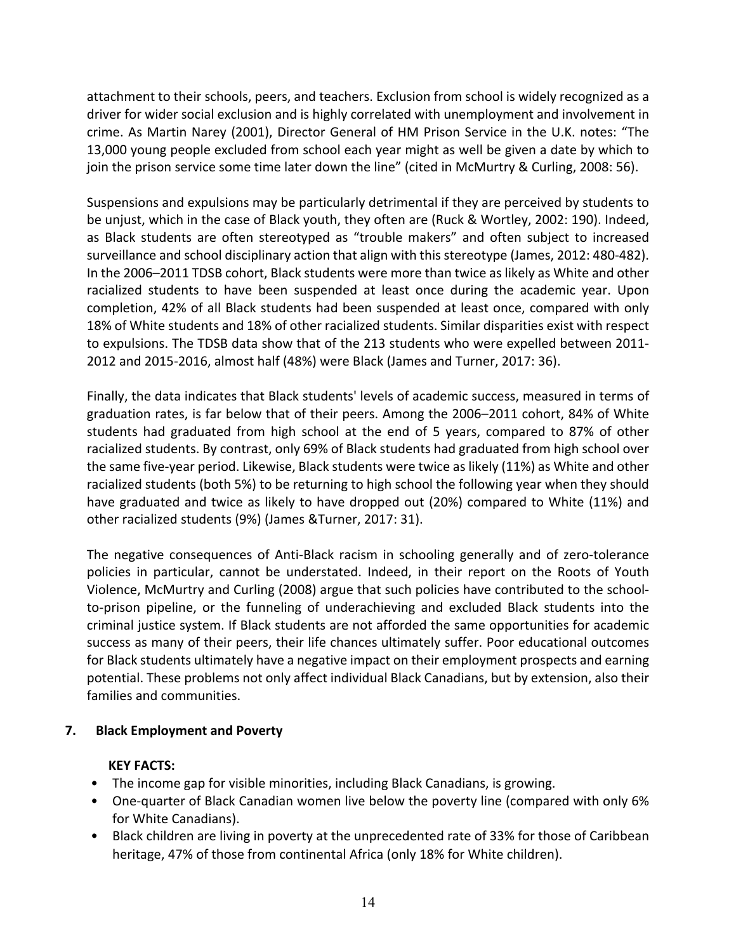attachment to their schools, peers, and teachers. Exclusion from school is widely recognized as a driver for wider social exclusion and is highly correlated with unemployment and involvement in crime. As Martin Narey (2001), Director General of HM Prison Service in the U.K. notes: "The 13,000 young people excluded from school each year might as well be given a date by which to join the prison service some time later down the line" (cited in McMurtry & Curling, 2008: 56).

Suspensions and expulsions may be particularly detrimental if they are perceived by students to be unjust, which in the case of Black youth, they often are (Ruck & Wortley, 2002: 190). Indeed, as Black students are often stereotyped as "trouble makers" and often subject to increased surveillance and school disciplinary action that align with this stereotype (James, 2012: 480-482). In the 2006–2011 TDSB cohort, Black students were more than twice as likely as White and other racialized students to have been suspended at least once during the academic year. Upon completion, 42% of all Black students had been suspended at least once, compared with only 18% of White students and 18% of other racialized students. Similar disparities exist with respect to expulsions. The TDSB data show that of the 213 students who were expelled between 2011- 2012 and 2015-2016, almost half (48%) were Black (James and Turner, 2017: 36).

Finally, the data indicates that Black students' levels of academic success, measured in terms of graduation rates, is far below that of their peers. Among the 2006–2011 cohort, 84% of White students had graduated from high school at the end of 5 years, compared to 87% of other racialized students. By contrast, only 69% of Black students had graduated from high school over the same five-year period. Likewise, Black students were twice as likely (11%) as White and other racialized students (both 5%) to be returning to high school the following year when they should have graduated and twice as likely to have dropped out (20%) compared to White (11%) and other racialized students (9%) (James &Turner, 2017: 31).

The negative consequences of Anti-Black racism in schooling generally and of zero-tolerance policies in particular, cannot be understated. Indeed, in their report on the Roots of Youth Violence, McMurtry and Curling (2008) argue that such policies have contributed to the schoolto-prison pipeline, or the funneling of underachieving and excluded Black students into the criminal justice system. If Black students are not afforded the same opportunities for academic success as many of their peers, their life chances ultimately suffer. Poor educational outcomes for Black students ultimately have a negative impact on their employment prospects and earning potential. These problems not only affect individual Black Canadians, but by extension, also their families and communities.

# **7. Black Employment and Poverty**

# **KEY FACTS:**

- The income gap for visible minorities, including Black Canadians, is growing.
- One-quarter of Black Canadian women live below the poverty line (compared with only 6% for White Canadians).
- Black children are living in poverty at the unprecedented rate of 33% for those of Caribbean heritage, 47% of those from continental Africa (only 18% for White children).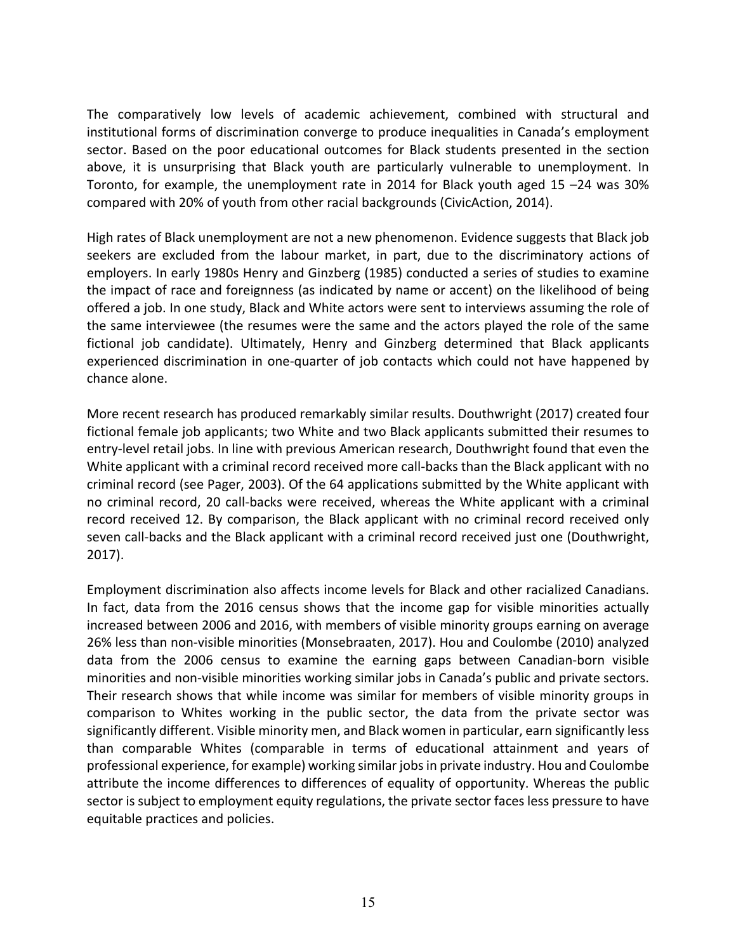The comparatively low levels of academic achievement, combined with structural and institutional forms of discrimination converge to produce inequalities in Canada's employment sector. Based on the poor educational outcomes for Black students presented in the section above, it is unsurprising that Black youth are particularly vulnerable to unemployment. In Toronto, for example, the unemployment rate in 2014 for Black youth aged 15 –24 was 30% compared with 20% of youth from other racial backgrounds (CivicAction, 2014).

High rates of Black unemployment are not a new phenomenon. Evidence suggests that Black job seekers are excluded from the labour market, in part, due to the discriminatory actions of employers. In early 1980s Henry and Ginzberg (1985) conducted a series of studies to examine the impact of race and foreignness (as indicated by name or accent) on the likelihood of being offered a job. In one study, Black and White actors were sent to interviews assuming the role of the same interviewee (the resumes were the same and the actors played the role of the same fictional job candidate). Ultimately, Henry and Ginzberg determined that Black applicants experienced discrimination in one-quarter of job contacts which could not have happened by chance alone.

More recent research has produced remarkably similar results. Douthwright (2017) created four fictional female job applicants; two White and two Black applicants submitted their resumes to entry-level retail jobs. In line with previous American research, Douthwright found that even the White applicant with a criminal record received more call-backs than the Black applicant with no criminal record (see Pager, 2003). Of the 64 applications submitted by the White applicant with no criminal record, 20 call-backs were received, whereas the White applicant with a criminal record received 12. By comparison, the Black applicant with no criminal record received only seven call-backs and the Black applicant with a criminal record received just one (Douthwright, 2017).

Employment discrimination also affects income levels for Black and other racialized Canadians. In fact, data from the 2016 census shows that the income gap for visible minorities actually increased between 2006 and 2016, with members of visible minority groups earning on average 26% less than non-visible minorities (Monsebraaten, 2017). Hou and Coulombe (2010) analyzed data from the 2006 census to examine the earning gaps between Canadian-born visible minorities and non-visible minorities working similar jobs in Canada's public and private sectors. Their research shows that while income was similar for members of visible minority groups in comparison to Whites working in the public sector, the data from the private sector was significantly different. Visible minority men, and Black women in particular, earn significantly less than comparable Whites (comparable in terms of educational attainment and years of professional experience, for example) working similar jobs in private industry. Hou and Coulombe attribute the income differences to differences of equality of opportunity. Whereas the public sector is subject to employment equity regulations, the private sector faces less pressure to have equitable practices and policies.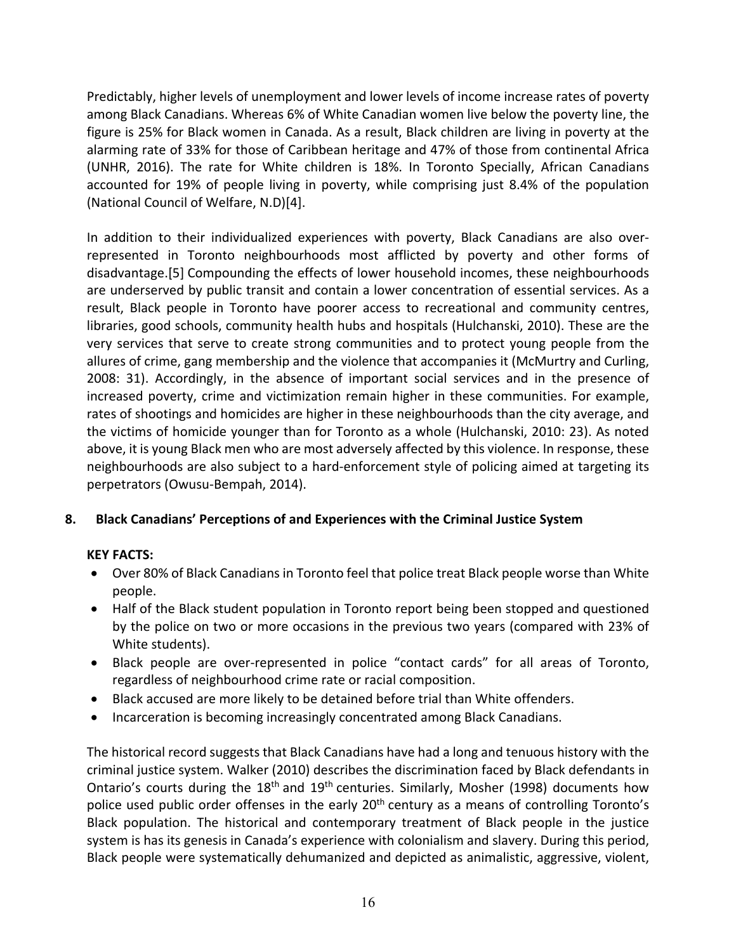Predictably, higher levels of unemployment and lower levels of income increase rates of poverty among Black Canadians. Whereas 6% of White Canadian women live below the poverty line, the figure is 25% for Black women in Canada. As a result, Black children are living in poverty at the alarming rate of 33% for those of Caribbean heritage and 47% of those from continental Africa (UNHR, 2016). The rate for White children is 18%. In Toronto Specially, African Canadians accounted for 19% of people living in poverty, while comprising just 8.4% of the population (National Council of Welfare, N.D)[4].

In addition to their individualized experiences with poverty, Black Canadians are also overrepresented in Toronto neighbourhoods most afflicted by poverty and other forms of disadvantage.[5] Compounding the effects of lower household incomes, these neighbourhoods are underserved by public transit and contain a lower concentration of essential services. As a result, Black people in Toronto have poorer access to recreational and community centres, libraries, good schools, community health hubs and hospitals (Hulchanski, 2010). These are the very services that serve to create strong communities and to protect young people from the allures of crime, gang membership and the violence that accompanies it (McMurtry and Curling, 2008: 31). Accordingly, in the absence of important social services and in the presence of increased poverty, crime and victimization remain higher in these communities. For example, rates of shootings and homicides are higher in these neighbourhoods than the city average, and the victims of homicide younger than for Toronto as a whole (Hulchanski, 2010: 23). As noted above, it is young Black men who are most adversely affected by this violence. In response, these neighbourhoods are also subject to a hard-enforcement style of policing aimed at targeting its perpetrators (Owusu-Bempah, 2014).

# **8. Black Canadians' Perceptions of and Experiences with the Criminal Justice System**

# **KEY FACTS:**

- Over 80% of Black Canadians in Toronto feel that police treat Black people worse than White people.
- Half of the Black student population in Toronto report being been stopped and questioned by the police on two or more occasions in the previous two years (compared with 23% of White students).
- Black people are over-represented in police "contact cards" for all areas of Toronto, regardless of neighbourhood crime rate or racial composition.
- Black accused are more likely to be detained before trial than White offenders.
- Incarceration is becoming increasingly concentrated among Black Canadians.

The historical record suggests that Black Canadians have had a long and tenuous history with the criminal justice system. Walker (2010) describes the discrimination faced by Black defendants in Ontario's courts during the 18<sup>th</sup> and 19<sup>th</sup> centuries. Similarly, Mosher (1998) documents how police used public order offenses in the early 20<sup>th</sup> century as a means of controlling Toronto's Black population. The historical and contemporary treatment of Black people in the justice system is has its genesis in Canada's experience with colonialism and slavery. During this period, Black people were systematically dehumanized and depicted as animalistic, aggressive, violent,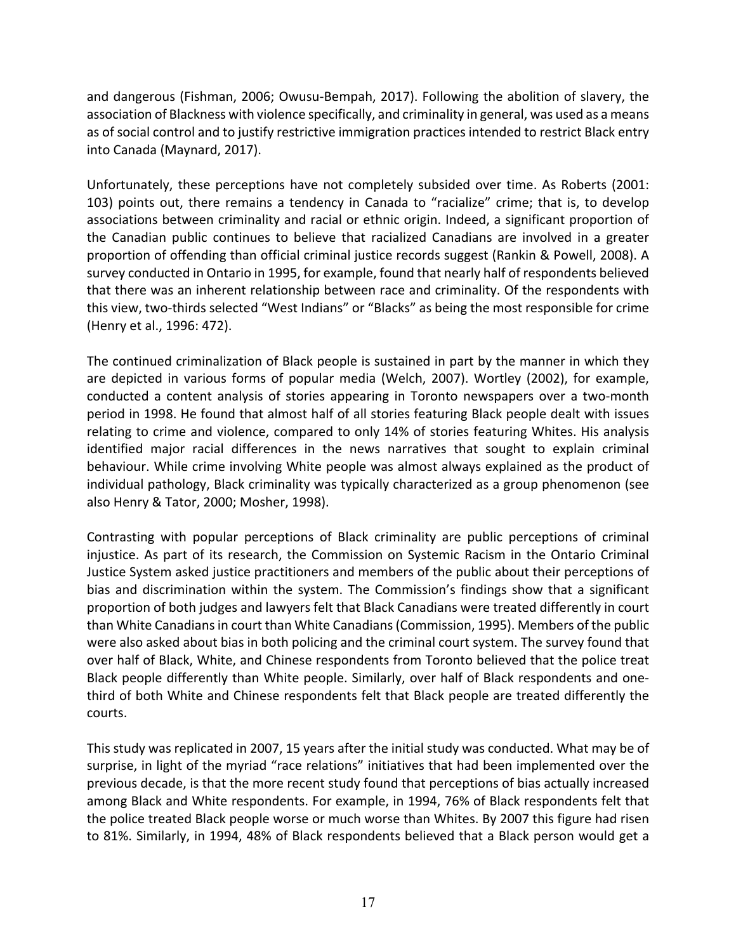and dangerous (Fishman, 2006; Owusu-Bempah, 2017). Following the abolition of slavery, the association of Blackness with violence specifically, and criminality in general, was used as a means as of social control and to justify restrictive immigration practices intended to restrict Black entry into Canada (Maynard, 2017).

Unfortunately, these perceptions have not completely subsided over time. As Roberts (2001: 103) points out, there remains a tendency in Canada to "racialize" crime; that is, to develop associations between criminality and racial or ethnic origin. Indeed, a significant proportion of the Canadian public continues to believe that racialized Canadians are involved in a greater proportion of offending than official criminal justice records suggest (Rankin & Powell, 2008). A survey conducted in Ontario in 1995, for example, found that nearly half of respondents believed that there was an inherent relationship between race and criminality. Of the respondents with this view, two-thirds selected "West Indians" or "Blacks" as being the most responsible for crime (Henry et al., 1996: 472).

The continued criminalization of Black people is sustained in part by the manner in which they are depicted in various forms of popular media (Welch, 2007). Wortley (2002), for example, conducted a content analysis of stories appearing in Toronto newspapers over a two-month period in 1998. He found that almost half of all stories featuring Black people dealt with issues relating to crime and violence, compared to only 14% of stories featuring Whites. His analysis identified major racial differences in the news narratives that sought to explain criminal behaviour. While crime involving White people was almost always explained as the product of individual pathology, Black criminality was typically characterized as a group phenomenon (see also Henry & Tator, 2000; Mosher, 1998).

Contrasting with popular perceptions of Black criminality are public perceptions of criminal injustice. As part of its research, the Commission on Systemic Racism in the Ontario Criminal Justice System asked justice practitioners and members of the public about their perceptions of bias and discrimination within the system. The Commission's findings show that a significant proportion of both judges and lawyers felt that Black Canadians were treated differently in court than White Canadians in court than White Canadians (Commission, 1995). Members of the public were also asked about bias in both policing and the criminal court system. The survey found that over half of Black, White, and Chinese respondents from Toronto believed that the police treat Black people differently than White people. Similarly, over half of Black respondents and onethird of both White and Chinese respondents felt that Black people are treated differently the courts.

This study was replicated in 2007, 15 years after the initial study was conducted. What may be of surprise, in light of the myriad "race relations" initiatives that had been implemented over the previous decade, is that the more recent study found that perceptions of bias actually increased among Black and White respondents. For example, in 1994, 76% of Black respondents felt that the police treated Black people worse or much worse than Whites. By 2007 this figure had risen to 81%. Similarly, in 1994, 48% of Black respondents believed that a Black person would get a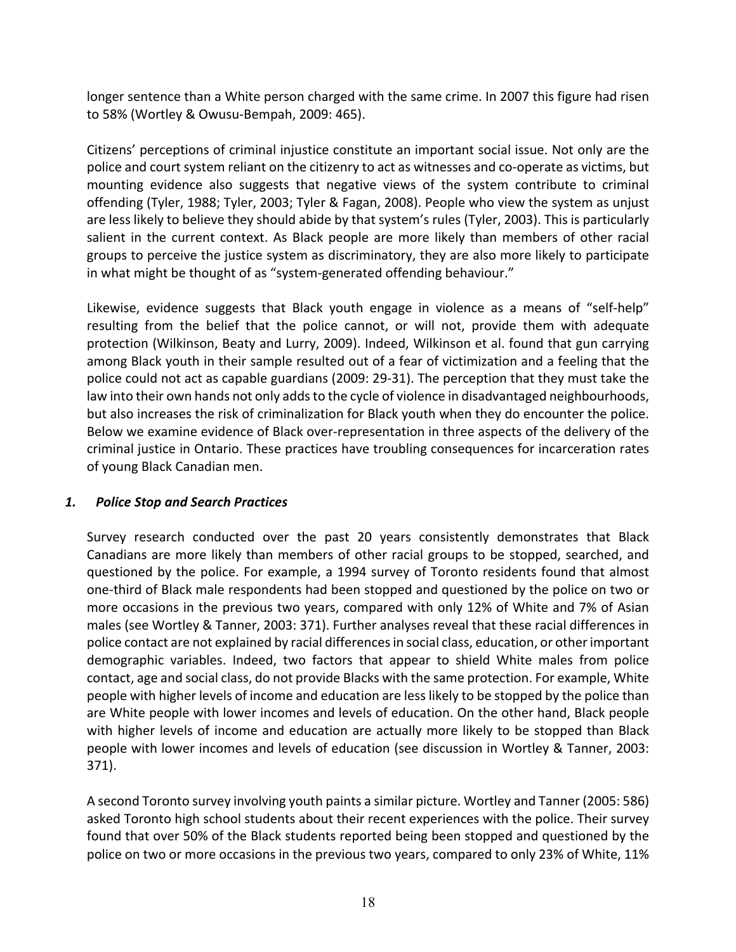longer sentence than a White person charged with the same crime. In 2007 this figure had risen to 58% (Wortley & Owusu-Bempah, 2009: 465).

Citizens' perceptions of criminal injustice constitute an important social issue. Not only are the police and court system reliant on the citizenry to act as witnesses and co-operate as victims, but mounting evidence also suggests that negative views of the system contribute to criminal offending (Tyler, 1988; Tyler, 2003; Tyler & Fagan, 2008). People who view the system as unjust are less likely to believe they should abide by that system's rules (Tyler, 2003). This is particularly salient in the current context. As Black people are more likely than members of other racial groups to perceive the justice system as discriminatory, they are also more likely to participate in what might be thought of as "system-generated offending behaviour."

Likewise, evidence suggests that Black youth engage in violence as a means of "self-help" resulting from the belief that the police cannot, or will not, provide them with adequate protection (Wilkinson, Beaty and Lurry, 2009). Indeed, Wilkinson et al. found that gun carrying among Black youth in their sample resulted out of a fear of victimization and a feeling that the police could not act as capable guardians (2009: 29-31). The perception that they must take the law into their own hands not only adds to the cycle of violence in disadvantaged neighbourhoods, but also increases the risk of criminalization for Black youth when they do encounter the police. Below we examine evidence of Black over-representation in three aspects of the delivery of the criminal justice in Ontario. These practices have troubling consequences for incarceration rates of young Black Canadian men.

## *1. Police Stop and Search Practices*

Survey research conducted over the past 20 years consistently demonstrates that Black Canadians are more likely than members of other racial groups to be stopped, searched, and questioned by the police. For example, a 1994 survey of Toronto residents found that almost one-third of Black male respondents had been stopped and questioned by the police on two or more occasions in the previous two years, compared with only 12% of White and 7% of Asian males (see Wortley & Tanner, 2003: 371). Further analyses reveal that these racial differences in police contact are not explained by racial differences in social class, education, or other important demographic variables. Indeed, two factors that appear to shield White males from police contact, age and social class, do not provide Blacks with the same protection. For example, White people with higher levels of income and education are less likely to be stopped by the police than are White people with lower incomes and levels of education. On the other hand, Black people with higher levels of income and education are actually more likely to be stopped than Black people with lower incomes and levels of education (see discussion in Wortley & Tanner, 2003: 371).

A second Toronto survey involving youth paints a similar picture. Wortley and Tanner (2005: 586) asked Toronto high school students about their recent experiences with the police. Their survey found that over 50% of the Black students reported being been stopped and questioned by the police on two or more occasions in the previous two years, compared to only 23% of White, 11%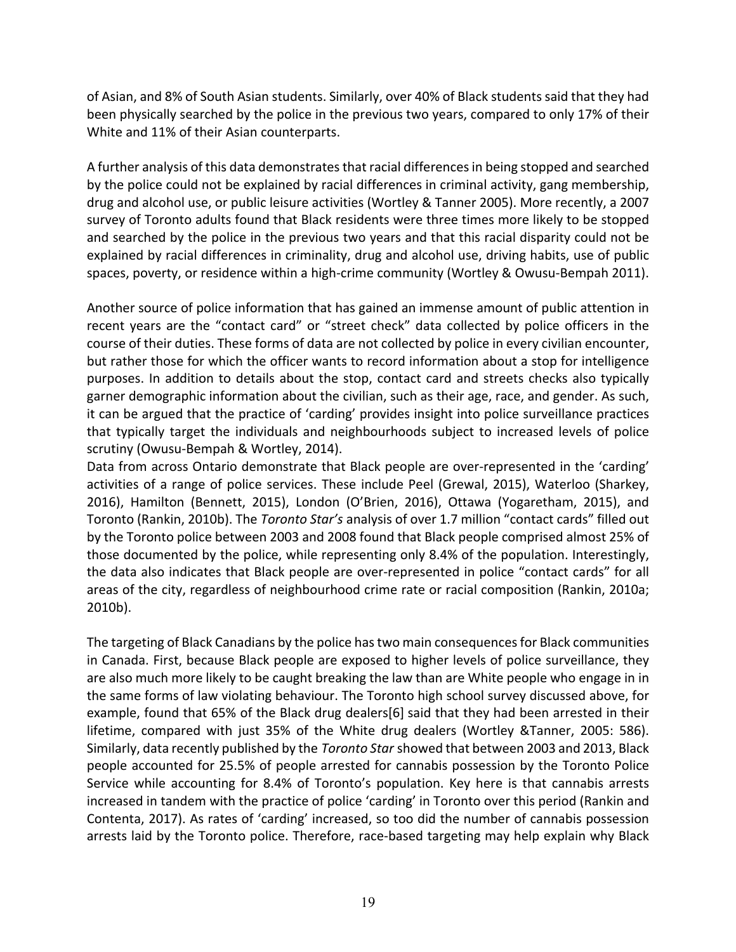of Asian, and 8% of South Asian students. Similarly, over 40% of Black students said that they had been physically searched by the police in the previous two years, compared to only 17% of their White and 11% of their Asian counterparts.

A further analysis of this data demonstrates that racial differences in being stopped and searched by the police could not be explained by racial differences in criminal activity, gang membership, drug and alcohol use, or public leisure activities (Wortley & Tanner 2005). More recently, a 2007 survey of Toronto adults found that Black residents were three times more likely to be stopped and searched by the police in the previous two years and that this racial disparity could not be explained by racial differences in criminality, drug and alcohol use, driving habits, use of public spaces, poverty, or residence within a high-crime community (Wortley & Owusu-Bempah 2011).

Another source of police information that has gained an immense amount of public attention in recent years are the "contact card" or "street check" data collected by police officers in the course of their duties. These forms of data are not collected by police in every civilian encounter, but rather those for which the officer wants to record information about a stop for intelligence purposes. In addition to details about the stop, contact card and streets checks also typically garner demographic information about the civilian, such as their age, race, and gender. As such, it can be argued that the practice of 'carding' provides insight into police surveillance practices that typically target the individuals and neighbourhoods subject to increased levels of police scrutiny (Owusu-Bempah & Wortley, 2014).

Data from across Ontario demonstrate that Black people are over-represented in the 'carding' activities of a range of police services. These include Peel (Grewal, 2015), Waterloo (Sharkey, 2016), Hamilton (Bennett, 2015), London (O'Brien, 2016), Ottawa (Yogaretham, 2015), and Toronto (Rankin, 2010b). The *Toronto Star's* analysis of over 1.7 million "contact cards" filled out by the Toronto police between 2003 and 2008 found that Black people comprised almost 25% of those documented by the police, while representing only 8.4% of the population. Interestingly, the data also indicates that Black people are over-represented in police "contact cards" for all areas of the city, regardless of neighbourhood crime rate or racial composition (Rankin, 2010a; 2010b).

The targeting of Black Canadians by the police has two main consequences for Black communities in Canada. First, because Black people are exposed to higher levels of police surveillance, they are also much more likely to be caught breaking the law than are White people who engage in in the same forms of law violating behaviour. The Toronto high school survey discussed above, for example, found that 65% of the Black drug dealers[6] said that they had been arrested in their lifetime, compared with just 35% of the White drug dealers (Wortley &Tanner, 2005: 586). Similarly, data recently published by the *Toronto Star* showed that between 2003 and 2013, Black people accounted for 25.5% of people arrested for cannabis possession by the Toronto Police Service while accounting for 8.4% of Toronto's population. Key here is that cannabis arrests increased in tandem with the practice of police 'carding' in Toronto over this period (Rankin and Contenta, 2017). As rates of 'carding' increased, so too did the number of cannabis possession arrests laid by the Toronto police. Therefore, race-based targeting may help explain why Black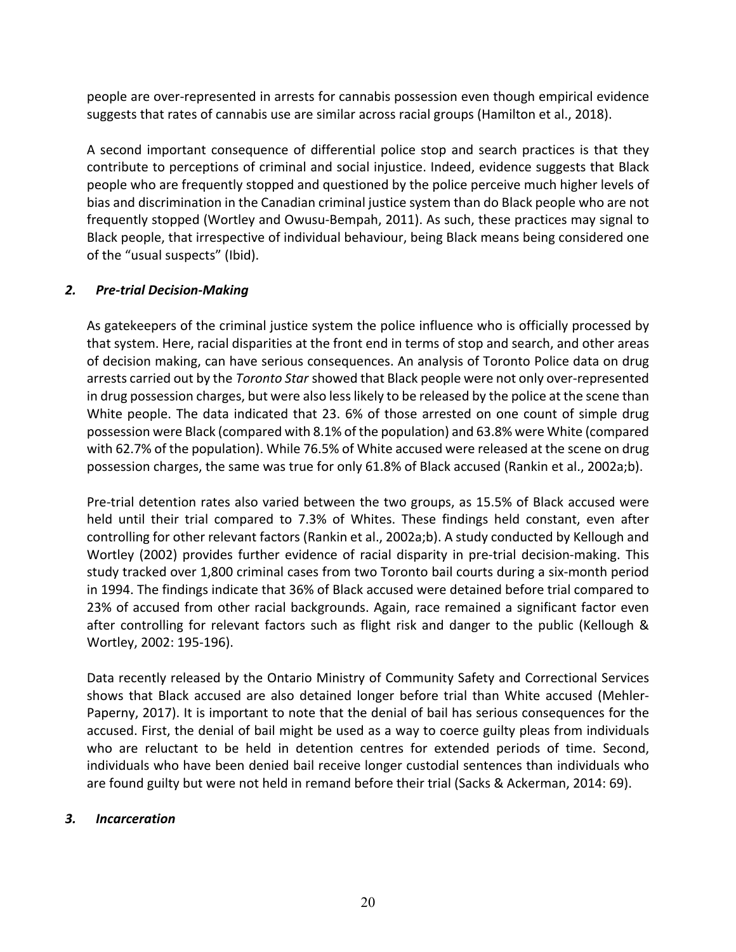people are over-represented in arrests for cannabis possession even though empirical evidence suggests that rates of cannabis use are similar across racial groups (Hamilton et al., 2018).

A second important consequence of differential police stop and search practices is that they contribute to perceptions of criminal and social injustice. Indeed, evidence suggests that Black people who are frequently stopped and questioned by the police perceive much higher levels of bias and discrimination in the Canadian criminal justice system than do Black people who are not frequently stopped (Wortley and Owusu-Bempah, 2011). As such, these practices may signal to Black people, that irrespective of individual behaviour, being Black means being considered one of the "usual suspects" (Ibid).

## *2. Pre-trial Decision-Making*

As gatekeepers of the criminal justice system the police influence who is officially processed by that system. Here, racial disparities at the front end in terms of stop and search, and other areas of decision making, can have serious consequences. An analysis of Toronto Police data on drug arrests carried out by the *Toronto Star* showed that Black people were not only over-represented in drug possession charges, but were also less likely to be released by the police at the scene than White people. The data indicated that 23. 6% of those arrested on one count of simple drug possession were Black (compared with 8.1% of the population) and 63.8% were White (compared with 62.7% of the population). While 76.5% of White accused were released at the scene on drug possession charges, the same was true for only 61.8% of Black accused (Rankin et al., 2002a;b).

Pre-trial detention rates also varied between the two groups, as 15.5% of Black accused were held until their trial compared to 7.3% of Whites. These findings held constant, even after controlling for other relevant factors (Rankin et al., 2002a;b). A study conducted by Kellough and Wortley (2002) provides further evidence of racial disparity in pre-trial decision-making. This study tracked over 1,800 criminal cases from two Toronto bail courts during a six-month period in 1994. The findings indicate that 36% of Black accused were detained before trial compared to 23% of accused from other racial backgrounds. Again, race remained a significant factor even after controlling for relevant factors such as flight risk and danger to the public (Kellough & Wortley, 2002: 195-196).

Data recently released by the Ontario Ministry of Community Safety and Correctional Services shows that Black accused are also detained longer before trial than White accused (Mehler-Paperny, 2017). It is important to note that the denial of bail has serious consequences for the accused. First, the denial of bail might be used as a way to coerce guilty pleas from individuals who are reluctant to be held in detention centres for extended periods of time. Second, individuals who have been denied bail receive longer custodial sentences than individuals who are found guilty but were not held in remand before their trial (Sacks & Ackerman, 2014: 69).

## *3. Incarceration*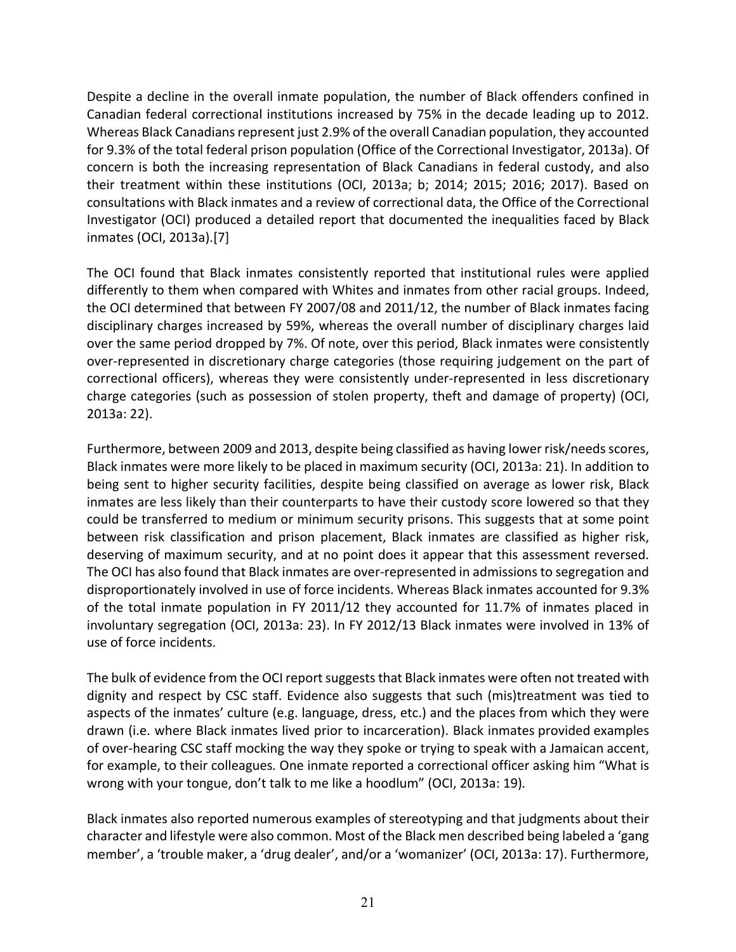Despite a decline in the overall inmate population, the number of Black offenders confined in Canadian federal correctional institutions increased by 75% in the decade leading up to 2012. Whereas Black Canadians represent just 2.9% of the overall Canadian population, they accounted for 9.3% of the total federal prison population (Office of the Correctional Investigator, 2013a). Of concern is both the increasing representation of Black Canadians in federal custody, and also their treatment within these institutions (OCI, 2013a; b; 2014; 2015; 2016; 2017). Based on consultations with Black inmates and a review of correctional data, the Office of the Correctional Investigator (OCI) produced a detailed report that documented the inequalities faced by Black inmates (OCI, 2013a).[7]

The OCI found that Black inmates consistently reported that institutional rules were applied differently to them when compared with Whites and inmates from other racial groups. Indeed, the OCI determined that between FY 2007/08 and 2011/12, the number of Black inmates facing disciplinary charges increased by 59%, whereas the overall number of disciplinary charges laid over the same period dropped by 7%. Of note, over this period, Black inmates were consistently over-represented in discretionary charge categories (those requiring judgement on the part of correctional officers), whereas they were consistently under-represented in less discretionary charge categories (such as possession of stolen property, theft and damage of property) (OCI, 2013a: 22).

Furthermore, between 2009 and 2013, despite being classified as having lower risk/needs scores, Black inmates were more likely to be placed in maximum security (OCI, 2013a: 21). In addition to being sent to higher security facilities, despite being classified on average as lower risk, Black inmates are less likely than their counterparts to have their custody score lowered so that they could be transferred to medium or minimum security prisons. This suggests that at some point between risk classification and prison placement, Black inmates are classified as higher risk, deserving of maximum security, and at no point does it appear that this assessment reversed. The OCI has also found that Black inmates are over-represented in admissions to segregation and disproportionately involved in use of force incidents. Whereas Black inmates accounted for 9.3% of the total inmate population in FY 2011/12 they accounted for 11.7% of inmates placed in involuntary segregation (OCI, 2013a: 23). In FY 2012/13 Black inmates were involved in 13% of use of force incidents.

The bulk of evidence from the OCI report suggests that Black inmates were often not treated with dignity and respect by CSC staff. Evidence also suggests that such (mis)treatment was tied to aspects of the inmates' culture (e.g. language, dress, etc.) and the places from which they were drawn (i.e. where Black inmates lived prior to incarceration). Black inmates provided examples of over-hearing CSC staff mocking the way they spoke or trying to speak with a Jamaican accent, for example, to their colleagues*.* One inmate reported a correctional officer asking him "What is wrong with your tongue, don't talk to me like a hoodlum" (OCI, 2013a: 19)*.*

Black inmates also reported numerous examples of stereotyping and that judgments about their character and lifestyle were also common. Most of the Black men described being labeled a 'gang member', a 'trouble maker, a 'drug dealer', and/or a 'womanizer' (OCI, 2013a: 17). Furthermore,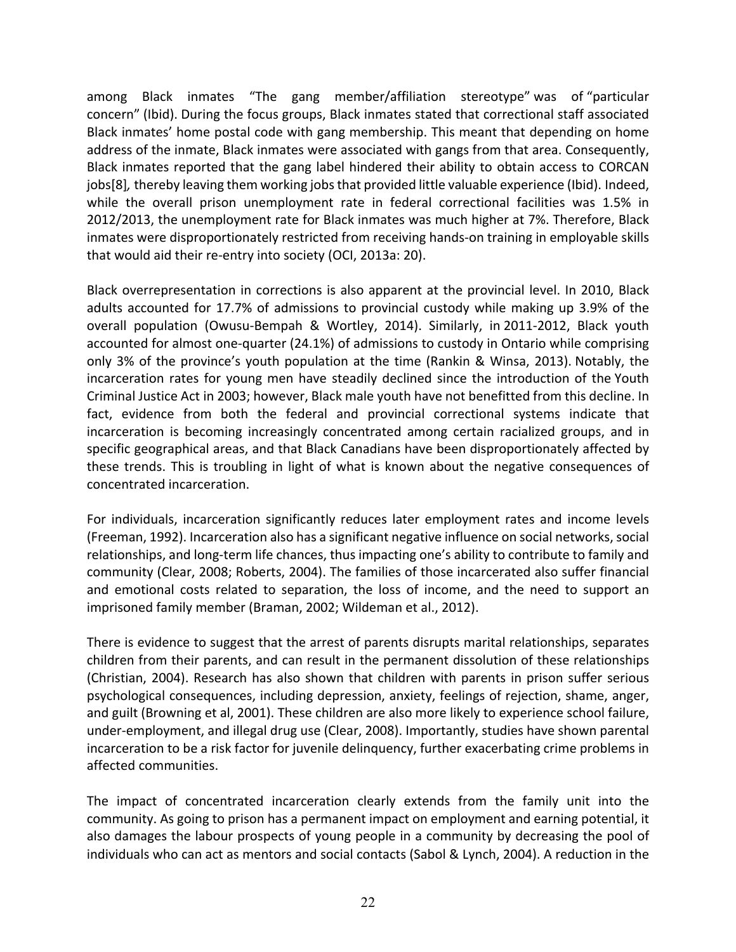among Black inmates "The gang member/affiliation stereotype" was of "particular concern" (Ibid). During the focus groups, Black inmates stated that correctional staff associated Black inmates' home postal code with gang membership. This meant that depending on home address of the inmate, Black inmates were associated with gangs from that area. Consequently, Black inmates reported that the gang label hindered their ability to obtain access to CORCAN jobs[8]*,* thereby leaving them working jobs that provided little valuable experience (Ibid). Indeed, while the overall prison unemployment rate in federal correctional facilities was 1.5% in 2012/2013, the unemployment rate for Black inmates was much higher at 7%. Therefore, Black inmates were disproportionately restricted from receiving hands-on training in employable skills that would aid their re-entry into society (OCI, 2013a: 20).

Black overrepresentation in corrections is also apparent at the provincial level. In 2010, Black adults accounted for 17.7% of admissions to provincial custody while making up 3.9% of the overall population (Owusu-Bempah & Wortley, 2014). Similarly, in 2011-2012, Black youth accounted for almost one-quarter (24.1%) of admissions to custody in Ontario while comprising only 3% of the province's youth population at the time (Rankin & Winsa, 2013). Notably, the incarceration rates for young men have steadily declined since the introduction of the Youth Criminal Justice Act in 2003; however, Black male youth have not benefitted from this decline. In fact, evidence from both the federal and provincial correctional systems indicate that incarceration is becoming increasingly concentrated among certain racialized groups, and in specific geographical areas, and that Black Canadians have been disproportionately affected by these trends. This is troubling in light of what is known about the negative consequences of concentrated incarceration.

For individuals, incarceration significantly reduces later employment rates and income levels (Freeman, 1992). Incarceration also has a significant negative influence on social networks, social relationships, and long-term life chances, thus impacting one's ability to contribute to family and community (Clear, 2008; Roberts, 2004). The families of those incarcerated also suffer financial and emotional costs related to separation, the loss of income, and the need to support an imprisoned family member (Braman, 2002; Wildeman et al., 2012).

There is evidence to suggest that the arrest of parents disrupts marital relationships, separates children from their parents, and can result in the permanent dissolution of these relationships (Christian, 2004). Research has also shown that children with parents in prison suffer serious psychological consequences, including depression, anxiety, feelings of rejection, shame, anger, and guilt (Browning et al, 2001). These children are also more likely to experience school failure, under-employment, and illegal drug use (Clear, 2008). Importantly, studies have shown parental incarceration to be a risk factor for juvenile delinquency, further exacerbating crime problems in affected communities.

The impact of concentrated incarceration clearly extends from the family unit into the community. As going to prison has a permanent impact on employment and earning potential, it also damages the labour prospects of young people in a community by decreasing the pool of individuals who can act as mentors and social contacts (Sabol & Lynch, 2004). A reduction in the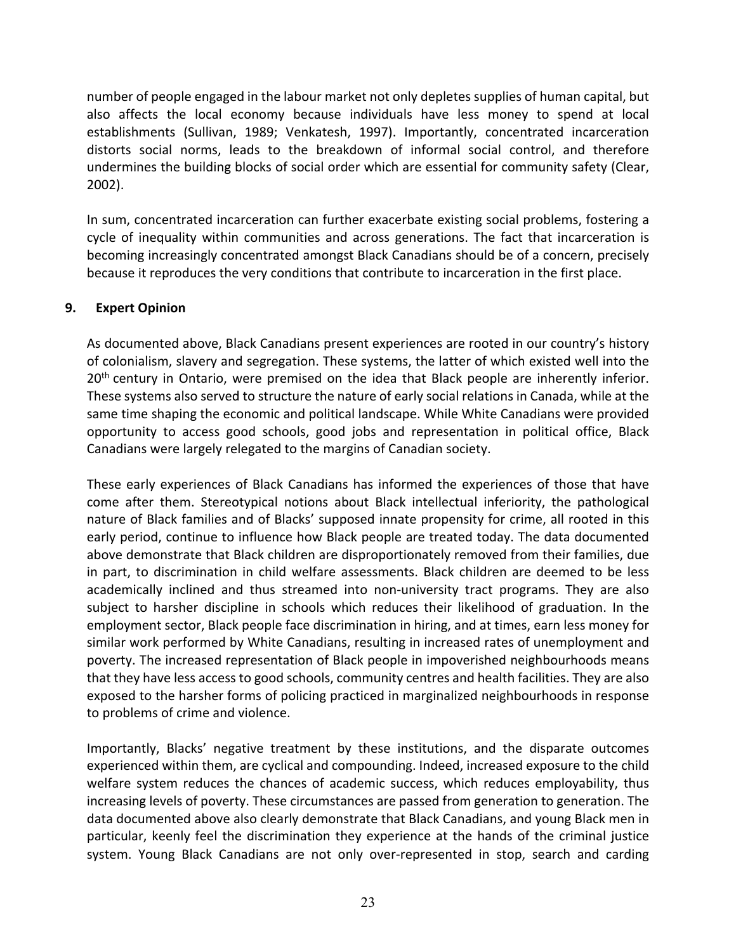number of people engaged in the labour market not only depletes supplies of human capital, but also affects the local economy because individuals have less money to spend at local establishments (Sullivan, 1989; Venkatesh, 1997). Importantly, concentrated incarceration distorts social norms, leads to the breakdown of informal social control, and therefore undermines the building blocks of social order which are essential for community safety (Clear, 2002).

In sum, concentrated incarceration can further exacerbate existing social problems, fostering a cycle of inequality within communities and across generations. The fact that incarceration is becoming increasingly concentrated amongst Black Canadians should be of a concern, precisely because it reproduces the very conditions that contribute to incarceration in the first place.

## **9. Expert Opinion**

As documented above, Black Canadians present experiences are rooted in our country's history of colonialism, slavery and segregation. These systems, the latter of which existed well into the 20<sup>th</sup> century in Ontario, were premised on the idea that Black people are inherently inferior. These systems also served to structure the nature of early social relations in Canada, while at the same time shaping the economic and political landscape. While White Canadians were provided opportunity to access good schools, good jobs and representation in political office, Black Canadians were largely relegated to the margins of Canadian society.

These early experiences of Black Canadians has informed the experiences of those that have come after them. Stereotypical notions about Black intellectual inferiority, the pathological nature of Black families and of Blacks' supposed innate propensity for crime, all rooted in this early period, continue to influence how Black people are treated today. The data documented above demonstrate that Black children are disproportionately removed from their families, due in part, to discrimination in child welfare assessments. Black children are deemed to be less academically inclined and thus streamed into non-university tract programs. They are also subject to harsher discipline in schools which reduces their likelihood of graduation. In the employment sector, Black people face discrimination in hiring, and at times, earn less money for similar work performed by White Canadians, resulting in increased rates of unemployment and poverty. The increased representation of Black people in impoverished neighbourhoods means that they have less access to good schools, community centres and health facilities. They are also exposed to the harsher forms of policing practiced in marginalized neighbourhoods in response to problems of crime and violence.

Importantly, Blacks' negative treatment by these institutions, and the disparate outcomes experienced within them, are cyclical and compounding. Indeed, increased exposure to the child welfare system reduces the chances of academic success, which reduces employability, thus increasing levels of poverty. These circumstances are passed from generation to generation. The data documented above also clearly demonstrate that Black Canadians, and young Black men in particular, keenly feel the discrimination they experience at the hands of the criminal justice system. Young Black Canadians are not only over-represented in stop, search and carding